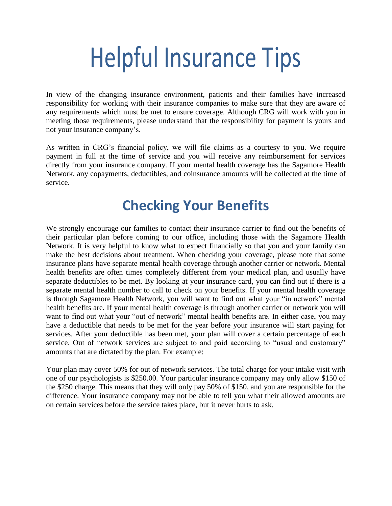# **Helpful Insurance Tips**

In view of the changing insurance environment, patients and their families have increased responsibility for working with their insurance companies to make sure that they are aware of any requirements which must be met to ensure coverage. Although CRG will work with you in meeting those requirements, please understand that the responsibility for payment is yours and not your insurance company's.

As written in CRG's financial policy, we will file claims as a courtesy to you. We require payment in full at the time of service and you will receive any reimbursement for services directly from your insurance company. If your mental health coverage has the Sagamore Health Network, any copayments, deductibles, and coinsurance amounts will be collected at the time of service.

### **Checking Your Benefits**

We strongly encourage our families to contact their insurance carrier to find out the benefits of their particular plan before coming to our office, including those with the Sagamore Health Network. It is very helpful to know what to expect financially so that you and your family can make the best decisions about treatment. When checking your coverage, please note that some insurance plans have separate mental health coverage through another carrier or network. Mental health benefits are often times completely different from your medical plan, and usually have separate deductibles to be met. By looking at your insurance card, you can find out if there is a separate mental health number to call to check on your benefits. If your mental health coverage is through Sagamore Health Network, you will want to find out what your "in network" mental health benefits are. If your mental health coverage is through another carrier or network you will want to find out what your "out of network" mental health benefits are. In either case, you may have a deductible that needs to be met for the year before your insurance will start paying for services. After your deductible has been met, your plan will cover a certain percentage of each service. Out of network services are subject to and paid according to "usual and customary" amounts that are dictated by the plan. For example:

Your plan may cover 50% for out of network services. The total charge for your intake visit with one of our psychologists is \$250.00. Your particular insurance company may only allow \$150 of the \$250 charge. This means that they will only pay 50% of \$150, and you are responsible for the difference. Your insurance company may not be able to tell you what their allowed amounts are on certain services before the service takes place, but it never hurts to ask.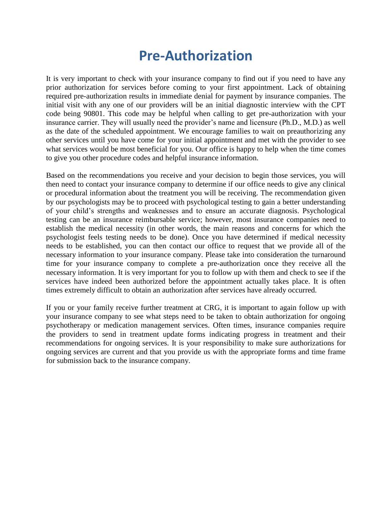#### **Pre-Authorization**

It is very important to check with your insurance company to find out if you need to have any prior authorization for services before coming to your first appointment. Lack of obtaining required pre-authorization results in immediate denial for payment by insurance companies. The initial visit with any one of our providers will be an initial diagnostic interview with the CPT code being 90801. This code may be helpful when calling to get pre-authorization with your insurance carrier. They will usually need the provider's name and licensure (Ph.D., M.D.) as well as the date of the scheduled appointment. We encourage families to wait on preauthorizing any other services until you have come for your initial appointment and met with the provider to see what services would be most beneficial for you. Our office is happy to help when the time comes to give you other procedure codes and helpful insurance information.

Based on the recommendations you receive and your decision to begin those services, you will then need to contact your insurance company to determine if our office needs to give any clinical or procedural information about the treatment you will be receiving. The recommendation given by our psychologists may be to proceed with psychological testing to gain a better understanding of your child's strengths and weaknesses and to ensure an accurate diagnosis. Psychological testing can be an insurance reimbursable service; however, most insurance companies need to establish the medical necessity (in other words, the main reasons and concerns for which the psychologist feels testing needs to be done). Once you have determined if medical necessity needs to be established, you can then contact our office to request that we provide all of the necessary information to your insurance company. Please take into consideration the turnaround time for your insurance company to complete a pre-authorization once they receive all the necessary information. It is very important for you to follow up with them and check to see if the services have indeed been authorized before the appointment actually takes place. It is often times extremely difficult to obtain an authorization after services have already occurred.

If you or your family receive further treatment at CRG, it is important to again follow up with your insurance company to see what steps need to be taken to obtain authorization for ongoing psychotherapy or medication management services. Often times, insurance companies require the providers to send in treatment update forms indicating progress in treatment and their recommendations for ongoing services. It is your responsibility to make sure authorizations for ongoing services are current and that you provide us with the appropriate forms and time frame for submission back to the insurance company.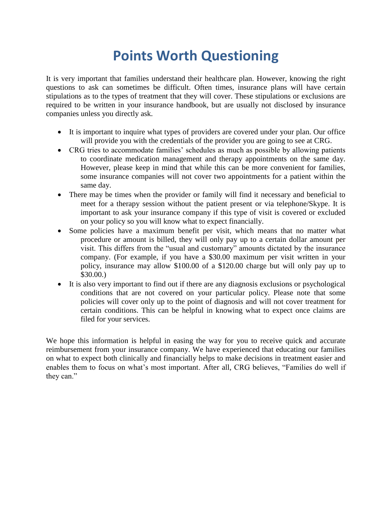## **Points Worth Questioning**

It is very important that families understand their healthcare plan. However, knowing the right questions to ask can sometimes be difficult. Often times, insurance plans will have certain stipulations as to the types of treatment that they will cover. These stipulations or exclusions are required to be written in your insurance handbook, but are usually not disclosed by insurance companies unless you directly ask.

- It is important to inquire what types of providers are covered under your plan. Our office will provide you with the credentials of the provider you are going to see at CRG.
- CRG tries to accommodate families' schedules as much as possible by allowing patients to coordinate medication management and therapy appointments on the same day. However, please keep in mind that while this can be more convenient for families, some insurance companies will not cover two appointments for a patient within the same day.
- There may be times when the provider or family will find it necessary and beneficial to meet for a therapy session without the patient present or via telephone/Skype. It is important to ask your insurance company if this type of visit is covered or excluded on your policy so you will know what to expect financially.
- Some policies have a maximum benefit per visit, which means that no matter what procedure or amount is billed, they will only pay up to a certain dollar amount per visit. This differs from the "usual and customary" amounts dictated by the insurance company. (For example, if you have a \$30.00 maximum per visit written in your policy, insurance may allow \$100.00 of a \$120.00 charge but will only pay up to \$30.00.)
- It is also very important to find out if there are any diagnosis exclusions or psychological conditions that are not covered on your particular policy. Please note that some policies will cover only up to the point of diagnosis and will not cover treatment for certain conditions. This can be helpful in knowing what to expect once claims are filed for your services.

We hope this information is helpful in easing the way for you to receive quick and accurate reimbursement from your insurance company. We have experienced that educating our families on what to expect both clinically and financially helps to make decisions in treatment easier and enables them to focus on what's most important. After all, CRG believes, "Families do well if they can."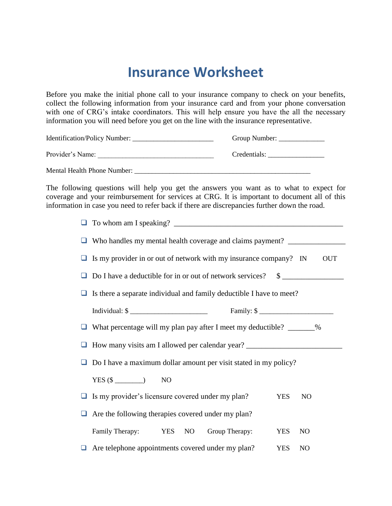#### **Insurance Worksheet**

Before you make the initial phone call to your insurance company to check on your benefits, collect the following information from your insurance card and from your phone conversation with one of CRG's intake coordinators. This will help ensure you have the all the necessary information you will need before you get on the line with the insurance representative.

| Identification/Policy Number: | Group Number: |
|-------------------------------|---------------|
| Provider's Name:              | Credentials:  |

Mental Health Phone Number: \_\_\_\_\_\_\_\_\_\_\_\_\_\_\_\_\_\_\_\_\_\_\_\_\_\_\_\_\_\_\_\_\_\_\_\_\_\_\_\_\_\_\_\_\_\_\_\_\_\_

The following questions will help you get the answers you want as to what to expect for coverage and your reimbursement for services at CRG. It is important to document all of this information in case you need to refer back if there are discrepancies further down the road.

| $\Box$ To whom am I speaking?                                    |  |
|------------------------------------------------------------------|--|
| $\Box$ Who handles my mental health coverage and claims payment? |  |

| $\Box$ Is my provider in or out of network with my insurance company? IN | OUT |
|--------------------------------------------------------------------------|-----|
|                                                                          |     |

| $\Box$ Do I have a deductible for in or out of network services? $\Box$ |  |
|-------------------------------------------------------------------------|--|
|-------------------------------------------------------------------------|--|

| $\Box$ Is there a separate individual and family deductible I have to meet? |  |  |
|-----------------------------------------------------------------------------|--|--|
|                                                                             |  |  |

□ What percentage will my plan pay after I meet my deductible? \_\_\_\_\_\_\_%

 $\Box$  How many visits am I allowed per calendar year?

 $\Box$  Do I have a maximum dollar amount per visit stated in my policy?

 $YES ($ \text{\textcircled{}} \text{\textcircled{}} \text{\textcircled{}}$  NO

| $\Box$ Is my provider's licensure covered under my plan?<br>YES NO |  |
|--------------------------------------------------------------------|--|
|--------------------------------------------------------------------|--|

 $\Box$  Are the following therapies covered under my plan?

| Family Therapy: |  |  | YES NO Group Therapy: | YES NO |  |
|-----------------|--|--|-----------------------|--------|--|
|-----------------|--|--|-----------------------|--------|--|

□ Are telephone appointments covered under my plan? YES NO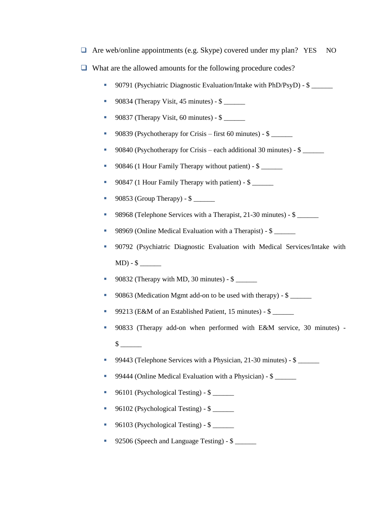$\Box$  Are web/online appointments (e.g. Skype) covered under my plan? YES NO

- $\Box$  What are the allowed amounts for the following procedure codes?
	- 90791 (Psychiatric Diagnostic Evaluation/Intake with PhD/PsyD) \$
	- $\blacksquare$  90834 (Therapy Visit, 45 minutes) \$
	- 90837 (Therapy Visit, 60 minutes) \$ \_\_\_\_\_\_
	- 90839 (Psychotherapy for Crisis first 60 minutes)  $\$
	- 90840 (Psychotherapy for Crisis each additional 30 minutes) \$ \_\_\_\_\_\_
	- 90846 (1 Hour Family Therapy without patient) \$ \_\_\_\_\_\_
	- 90847 (1 Hour Family Therapy with patient) \$ \_\_\_\_\_\_
	- 90853 (Group Therapy)  $\$
	- 98968 (Telephone Services with a Therapist, 21-30 minutes) \$ \_\_\_\_\_\_
	- 98969 (Online Medical Evaluation with a Therapist) \$ \_\_\_\_\_\_
	- 90792 (Psychiatric Diagnostic Evaluation with Medical Services/Intake with MD) - \$ \_\_\_\_\_\_
	- 90832 (Therapy with MD, 30 minutes)  $$$
	- 90863 (Medication Mgmt add-on to be used with therapy) \$ \_\_\_\_\_\_
	- 99213 (E&M of an Established Patient, 15 minutes) \$ \_\_\_\_\_\_
	- 90833 (Therapy add-on when performed with E&M service, 30 minutes) \$ \_\_\_\_\_\_
	- 99443 (Telephone Services with a Physician, 21-30 minutes) \$ \_\_\_\_\_\_
	- 99444 (Online Medical Evaluation with a Physician) \$ \_\_\_\_\_\_
	- 96101 (Psychological Testing)  $\frac{1}{2}$
	- 96102 (Psychological Testing) \$ \_\_\_\_\_\_
	- 96103 (Psychological Testing) \$ \_\_\_\_\_\_
	- 92506 (Speech and Language Testing) \$ \_\_\_\_\_\_